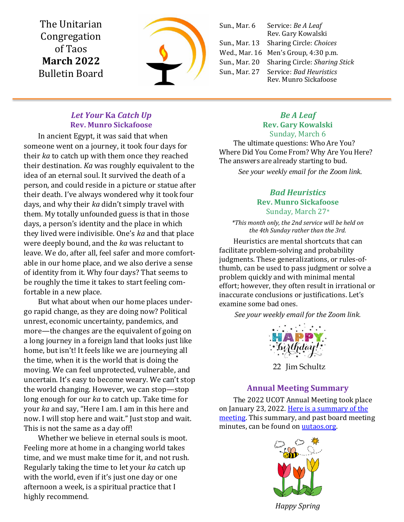The Unitarian Congregation of Taos **March 2022** Bulletin Board



Sun., Mar. 6 Service: *Be A Leaf* Rev. Gary Kowalski Sun., Mar. 13 Sharing Circle: *Choices* Wed., Mar. 16 Men's Group, 4:30 p.m. Sun., Mar. 20 Sharing Circle: *Sharing Stick* Sun., Mar. 27 Service: *Bad Heuristics* Rev. Munro Sickafoose

## *Let Your* **Ka** *Catch Up* **Rev. Munro Sickafoose**

In ancient Egypt, it was said that when someone went on a journey, it took four days for their *ka* to catch up with them once they reached their destination. *Ka* was roughly equivalent to the idea of an eternal soul. It survived the death of a person, and could reside in a picture or statue after their death. I've always wondered why it took four days, and why their *ka* didn't simply travel with them. My totally unfounded guess is that in those days, a person's identity and the place in which they lived were indivisible. One's *ka* and that place were deeply bound, and the *ka* was reluctant to leave. We do, after all, feel safer and more comfortable in our home place, and we also derive a sense of identity from it. Why four days? That seems to be roughly the time it takes to start feeling comfortable in a new place.

But what about when our home places undergo rapid change, as they are doing now? Political unrest, economic uncertainty, pandemics, and more—the changes are the equivalent of going on a long journey in a foreign land that looks just like home, but isn't! It feels like we are journeying all the time, when it is the world that is doing the moving. We can feel unprotected, vulnerable, and uncertain. It's easy to become weary. We can't stop the world changing. However, we can stop—stop long enough for our *ka* to catch up. Take time for your *ka* and say, "Here I am. I am in this here and now. I will stop here and wait." Just stop and wait. This is not the same as a day off!

Whether we believe in eternal souls is moot. Feeling more at home in a changing world takes time, and we must make time for it, and not rush. Regularly taking the time to let your *ka* catch up with the world, even if it's just one day or one afternoon a week, is a spiritual practice that I highly recommend.

#### *Be A Leaf* **Rev. Gary Kowalski** Sunday, March 6

The ultimate questions: Who Are You? Where Did You Come From? Why Are You Here? The answers are already starting to bud.

*See your weekly email for the Zoom link.*

## *Bad Heuristics* **Rev. Munro Sickafoose** Sunday, March 27\*

*\*This month only, the 2nd service will be held on the 4th Sunday rather than the 3rd.*

Heuristics are mental shortcuts that can facilitate problem-solving and probability judgments. These generalizations, or rules-ofthumb, can be used to pass judgment or solve a problem quickly and with minimal mental effort; however, they often result in irrational or inaccurate conclusions or justifications. Let's examine some bad ones.

*See your weekly email for the Zoom link.*



22 Jim Schultz

# **Annual Meeting Summary**

The 2022 UCOT Annual Meeting took place on January 23, 2022. Here is a summary of the [meeting.](https://uutaos.org/wp-content/uploads/2022/02/2022-UCOT-Annual-Meeting-Minutes.pdf) This summary, and past board meeting minutes, can be found on [uutaos.org.](https://uutaos.org/news/board-news/)